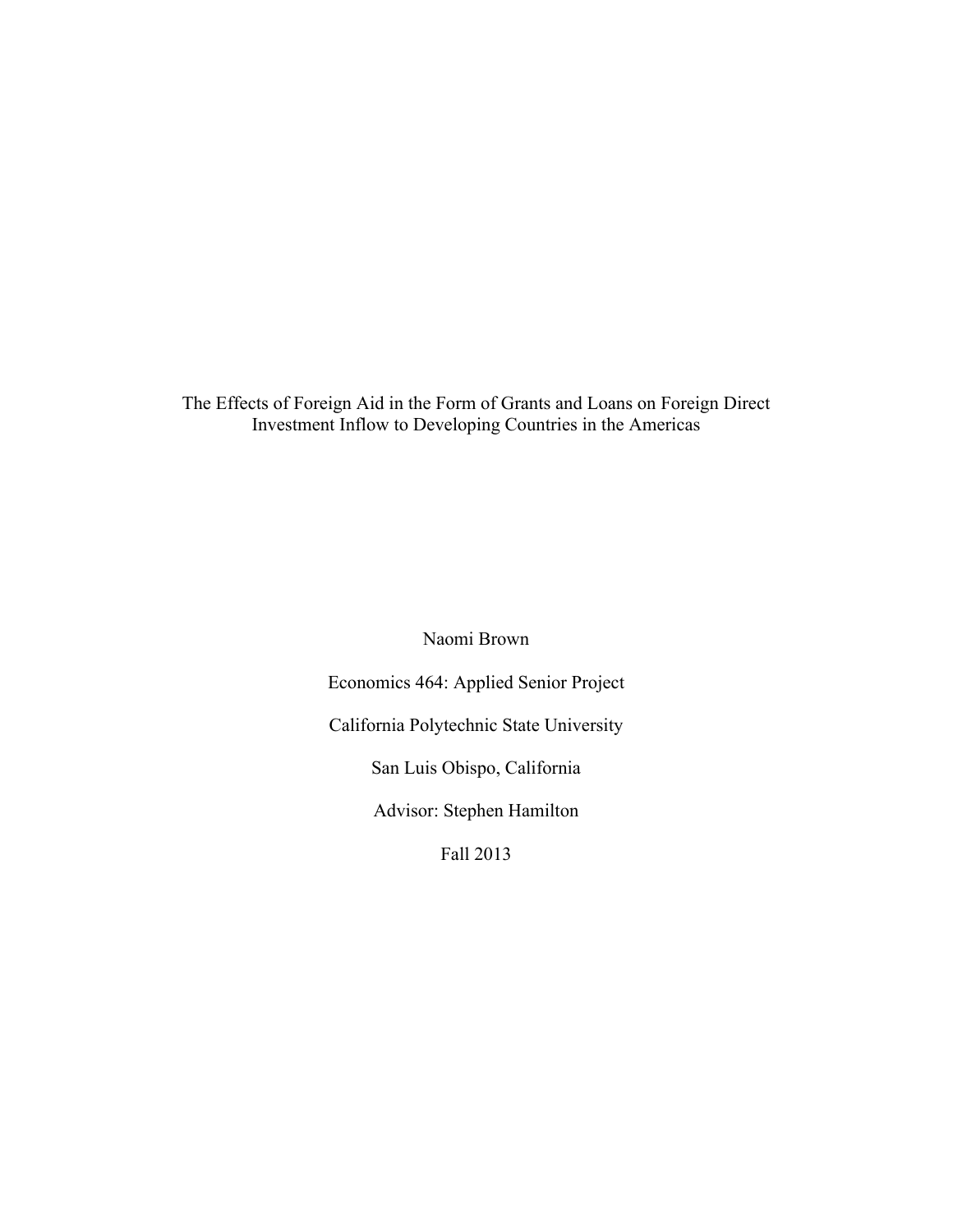The Effects of Foreign Aid in the Form of Grants and Loans on Foreign Direct Investment Inflow to Developing Countries in the Americas

Naomi Brown

Economics 464: Applied Senior Project

California Polytechnic State University

San Luis Obispo, California

Advisor: Stephen Hamilton

Fall 2013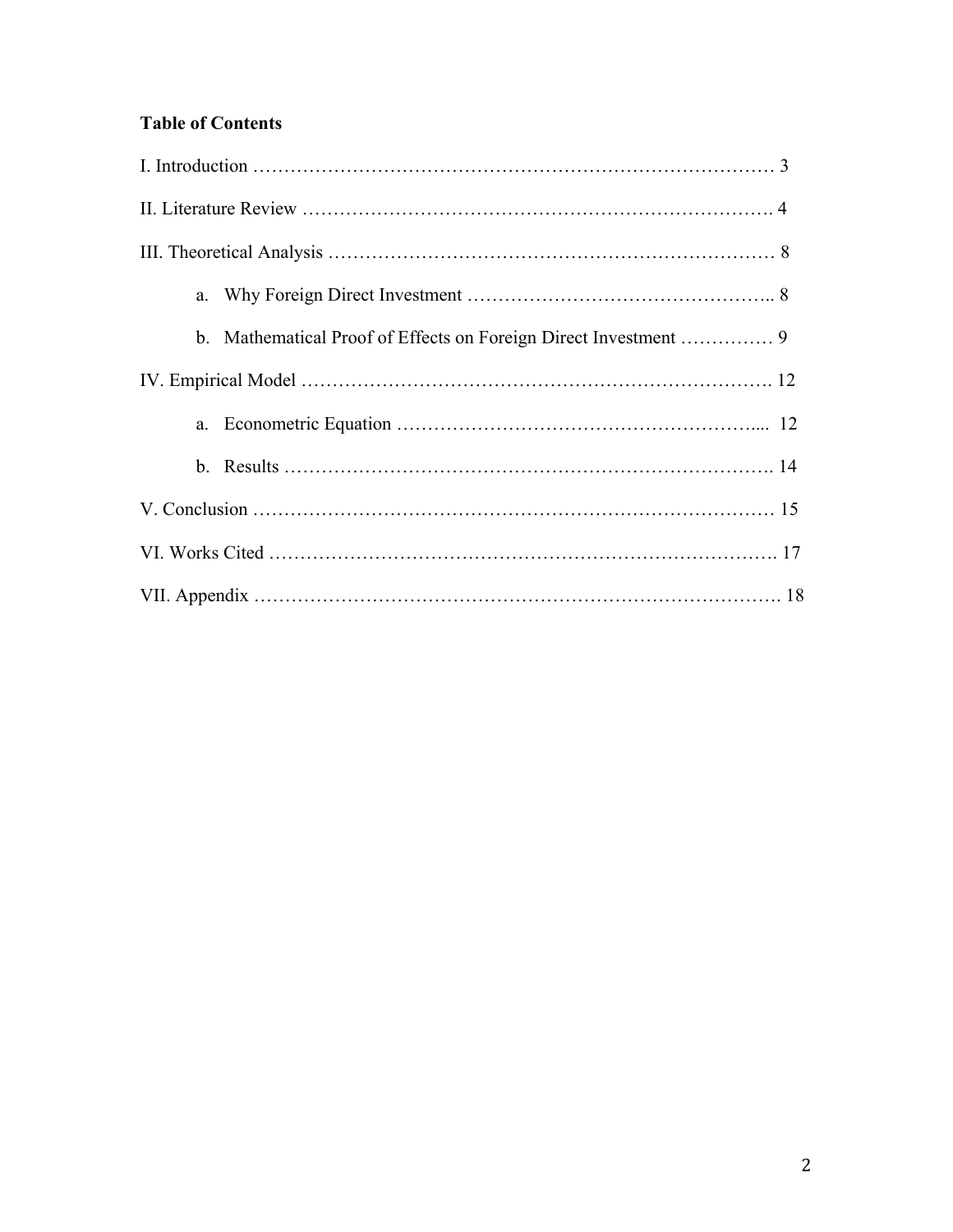# **Table of Contents**

| a. |  |  |
|----|--|--|
|    |  |  |
|    |  |  |
| a. |  |  |
|    |  |  |
|    |  |  |
|    |  |  |
|    |  |  |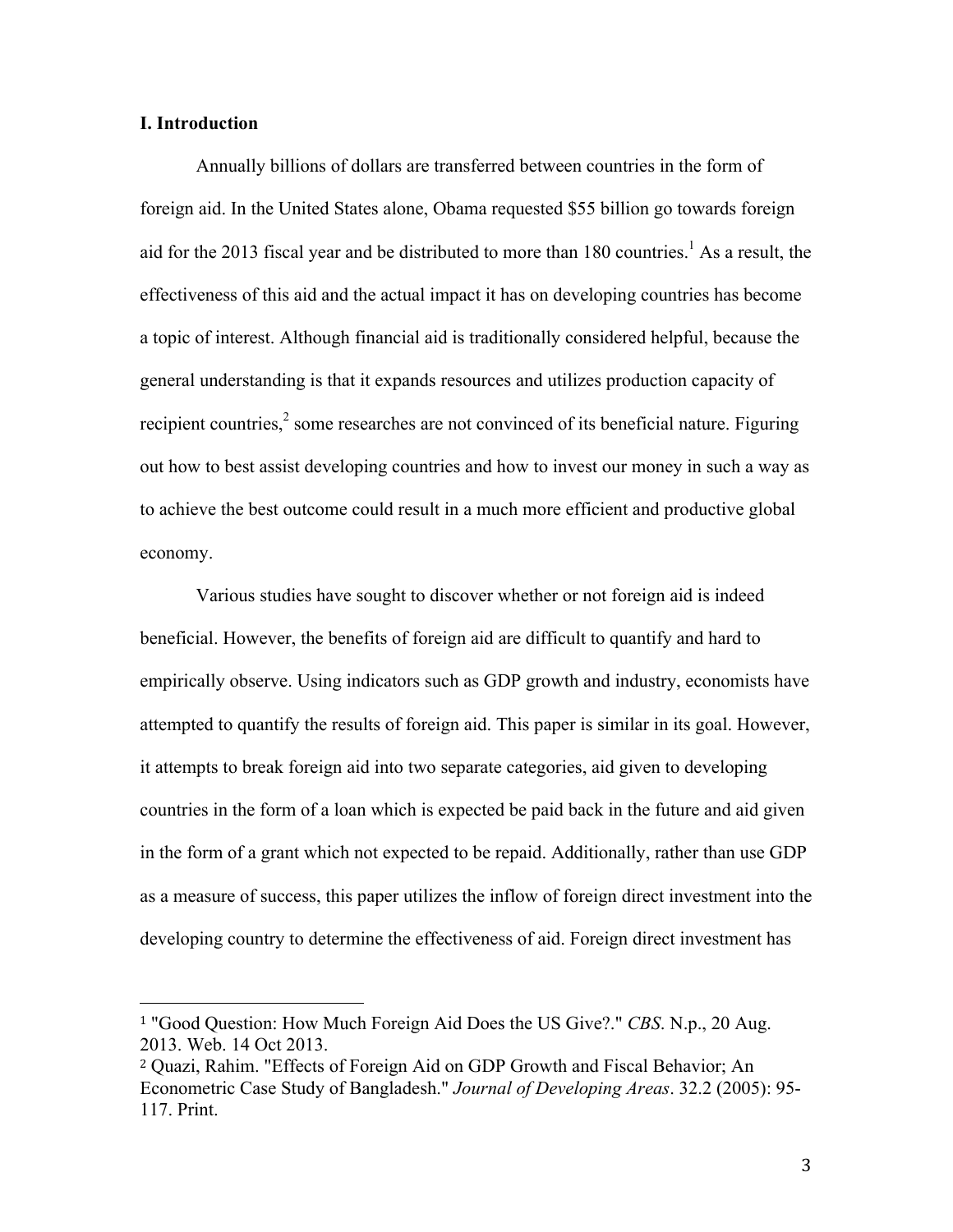## **I. Introduction**

Annually billions of dollars are transferred between countries in the form of foreign aid. In the United States alone, Obama requested \$55 billion go towards foreign aid for the 2013 fiscal year and be distributed to more than  $180$  countries.<sup>1</sup> As a result, the effectiveness of this aid and the actual impact it has on developing countries has become a topic of interest. Although financial aid is traditionally considered helpful, because the general understanding is that it expands resources and utilizes production capacity of recipient countries, $<sup>2</sup>$  some researches are not convinced of its beneficial nature. Figuring</sup> out how to best assist developing countries and how to invest our money in such a way as to achieve the best outcome could result in a much more efficient and productive global economy.

Various studies have sought to discover whether or not foreign aid is indeed beneficial. However, the benefits of foreign aid are difficult to quantify and hard to empirically observe. Using indicators such as GDP growth and industry, economists have attempted to quantify the results of foreign aid. This paper is similar in its goal. However, it attempts to break foreign aid into two separate categories, aid given to developing countries in the form of a loan which is expected be paid back in the future and aid given in the form of a grant which not expected to be repaid. Additionally, rather than use GDP as a measure of success, this paper utilizes the inflow of foreign direct investment into the developing country to determine the effectiveness of aid. Foreign direct investment has

<sup>1</sup> "Good Question: How Much Foreign Aid Does the US Give?." *CBS*. N.p., 20 Aug. 2013. Web. 14 Oct 2013.

<sup>2</sup> Quazi, Rahim. "Effects of Foreign Aid on GDP Growth and Fiscal Behavior; An Econometric Case Study of Bangladesh." *Journal of Developing Areas*. 32.2 (2005): 95- 117. Print.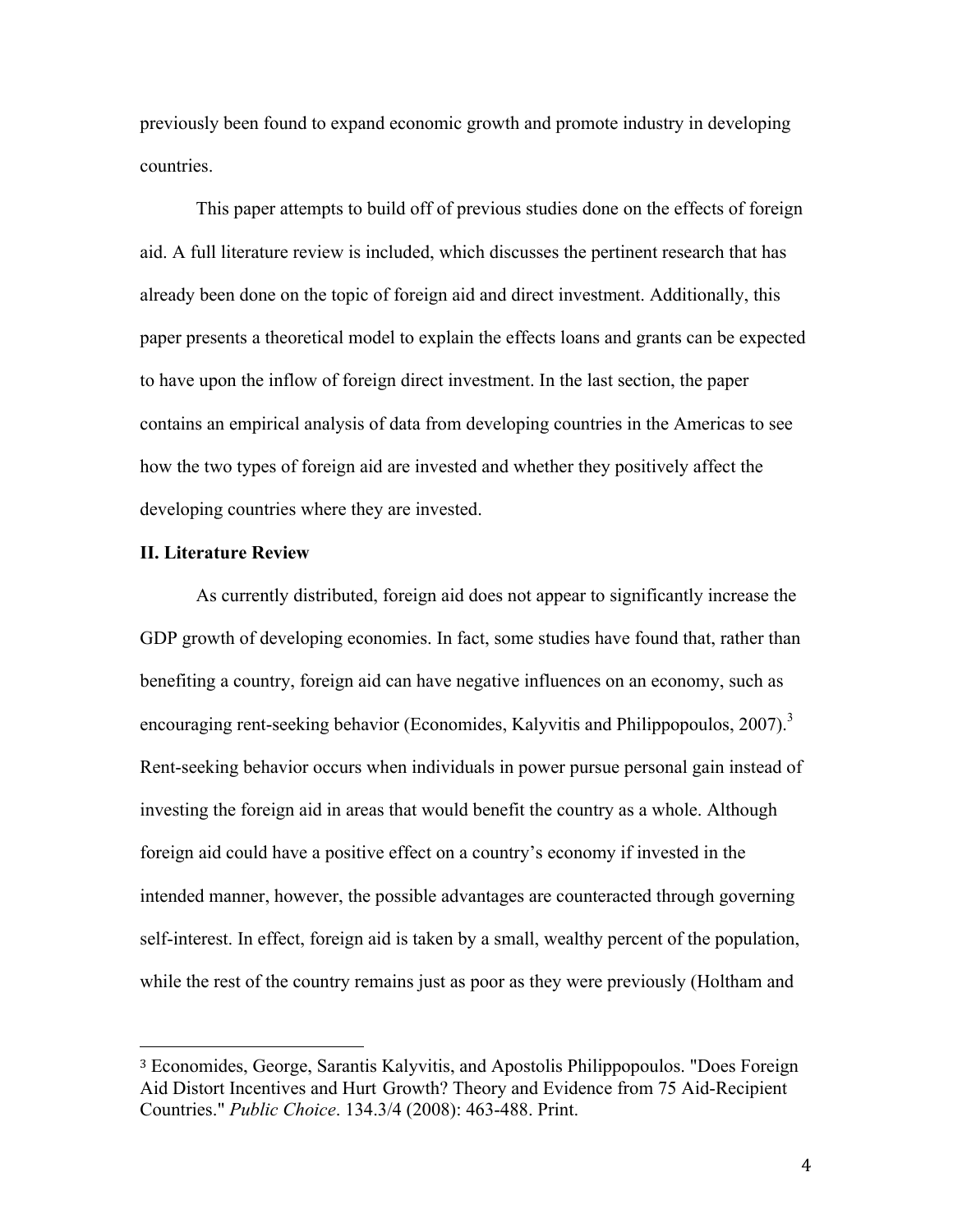previously been found to expand economic growth and promote industry in developing countries.

This paper attempts to build off of previous studies done on the effects of foreign aid. A full literature review is included, which discusses the pertinent research that has already been done on the topic of foreign aid and direct investment. Additionally, this paper presents a theoretical model to explain the effects loans and grants can be expected to have upon the inflow of foreign direct investment. In the last section, the paper contains an empirical analysis of data from developing countries in the Americas to see how the two types of foreign aid are invested and whether they positively affect the developing countries where they are invested.

#### **II. Literature Review**

 

As currently distributed, foreign aid does not appear to significantly increase the GDP growth of developing economies. In fact, some studies have found that, rather than benefiting a country, foreign aid can have negative influences on an economy, such as encouraging rent-seeking behavior (Economides, Kalyvitis and Philippopoulos, 2007).<sup>3</sup> Rent-seeking behavior occurs when individuals in power pursue personal gain instead of investing the foreign aid in areas that would benefit the country as a whole. Although foreign aid could have a positive effect on a country's economy if invested in the intended manner, however, the possible advantages are counteracted through governing self-interest. In effect, foreign aid is taken by a small, wealthy percent of the population, while the rest of the country remains just as poor as they were previously (Holtham and

<sup>3</sup> Economides, George, Sarantis Kalyvitis, and Apostolis Philippopoulos. "Does Foreign Aid Distort Incentives and Hurt Growth? Theory and Evidence from 75 Aid-Recipient Countries." *Public Choice*. 134.3/4 (2008): 463-488. Print.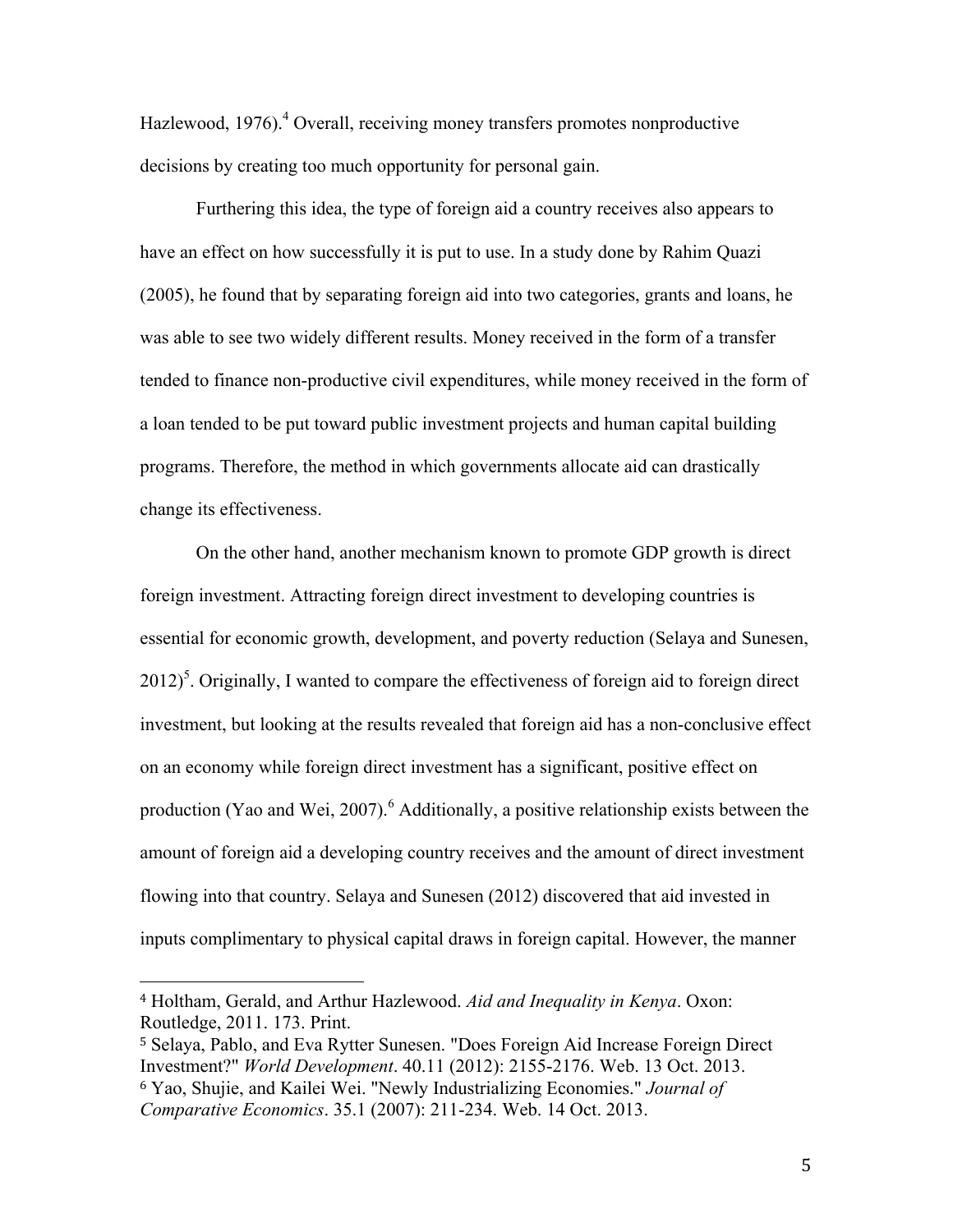Hazlewood, 1976).<sup>4</sup> Overall, receiving money transfers promotes nonproductive decisions by creating too much opportunity for personal gain.

Furthering this idea, the type of foreign aid a country receives also appears to have an effect on how successfully it is put to use. In a study done by Rahim Quazi (2005), he found that by separating foreign aid into two categories, grants and loans, he was able to see two widely different results. Money received in the form of a transfer tended to finance non-productive civil expenditures, while money received in the form of a loan tended to be put toward public investment projects and human capital building programs. Therefore, the method in which governments allocate aid can drastically change its effectiveness.

On the other hand, another mechanism known to promote GDP growth is direct foreign investment. Attracting foreign direct investment to developing countries is essential for economic growth, development, and poverty reduction (Selaya and Sunesen,  $2012$ <sup>5</sup>. Originally, I wanted to compare the effectiveness of foreign aid to foreign direct investment, but looking at the results revealed that foreign aid has a non-conclusive effect on an economy while foreign direct investment has a significant, positive effect on production (Yao and Wei, 2007).<sup>6</sup> Additionally, a positive relationship exists between the amount of foreign aid a developing country receives and the amount of direct investment flowing into that country. Selaya and Sunesen (2012) discovered that aid invested in inputs complimentary to physical capital draws in foreign capital. However, the manner

<sup>4</sup> Holtham, Gerald, and Arthur Hazlewood. *Aid and Inequality in Kenya*. Oxon: Routledge, 2011. 173. Print.

<sup>5</sup> Selaya, Pablo, and Eva Rytter Sunesen. "Does Foreign Aid Increase Foreign Direct Investment?" *World Development*. 40.11 (2012): 2155-2176. Web. 13 Oct. 2013. <sup>6</sup> Yao, Shujie, and Kailei Wei. "Newly Industrializing Economies." *Journal of Comparative Economics*. 35.1 (2007): 211-234. Web. 14 Oct. 2013.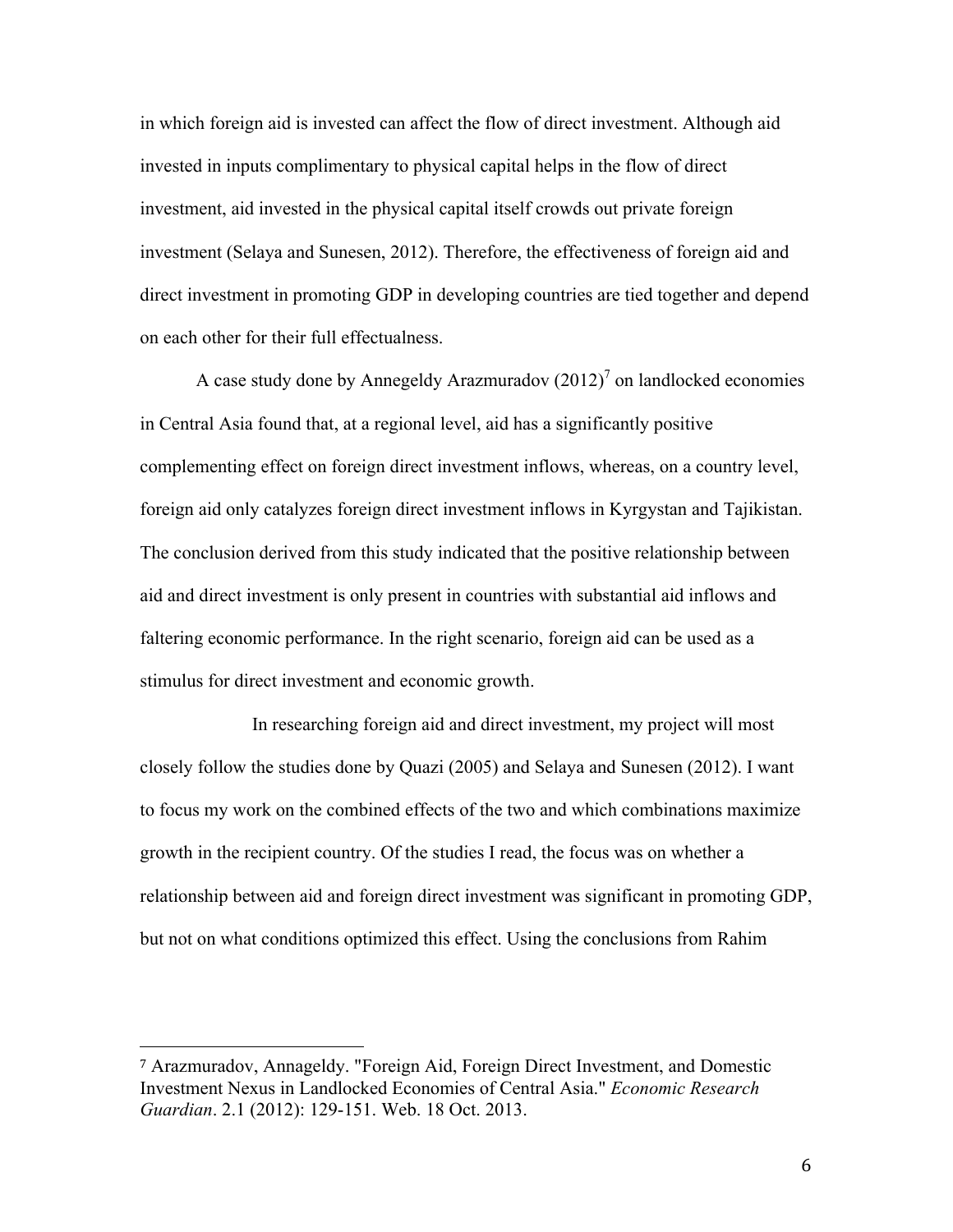in which foreign aid is invested can affect the flow of direct investment. Although aid invested in inputs complimentary to physical capital helps in the flow of direct investment, aid invested in the physical capital itself crowds out private foreign investment (Selaya and Sunesen, 2012). Therefore, the effectiveness of foreign aid and direct investment in promoting GDP in developing countries are tied together and depend on each other for their full effectualness.

A case study done by Annegeldy Arazmuradov  $(2012)^7$  on landlocked economies in Central Asia found that, at a regional level, aid has a significantly positive complementing effect on foreign direct investment inflows, whereas, on a country level, foreign aid only catalyzes foreign direct investment inflows in Kyrgystan and Tajikistan. The conclusion derived from this study indicated that the positive relationship between aid and direct investment is only present in countries with substantial aid inflows and faltering economic performance. In the right scenario, foreign aid can be used as a stimulus for direct investment and economic growth.

In researching foreign aid and direct investment, my project will most closely follow the studies done by Quazi (2005) and Selaya and Sunesen (2012). I want to focus my work on the combined effects of the two and which combinations maximize growth in the recipient country. Of the studies I read, the focus was on whether a relationship between aid and foreign direct investment was significant in promoting GDP, but not on what conditions optimized this effect. Using the conclusions from Rahim

<sup>7</sup> Arazmuradov, Annageldy. "Foreign Aid, Foreign Direct Investment, and Domestic Investment Nexus in Landlocked Economies of Central Asia." *Economic Research Guardian*. 2.1 (2012): 129-151. Web. 18 Oct. 2013.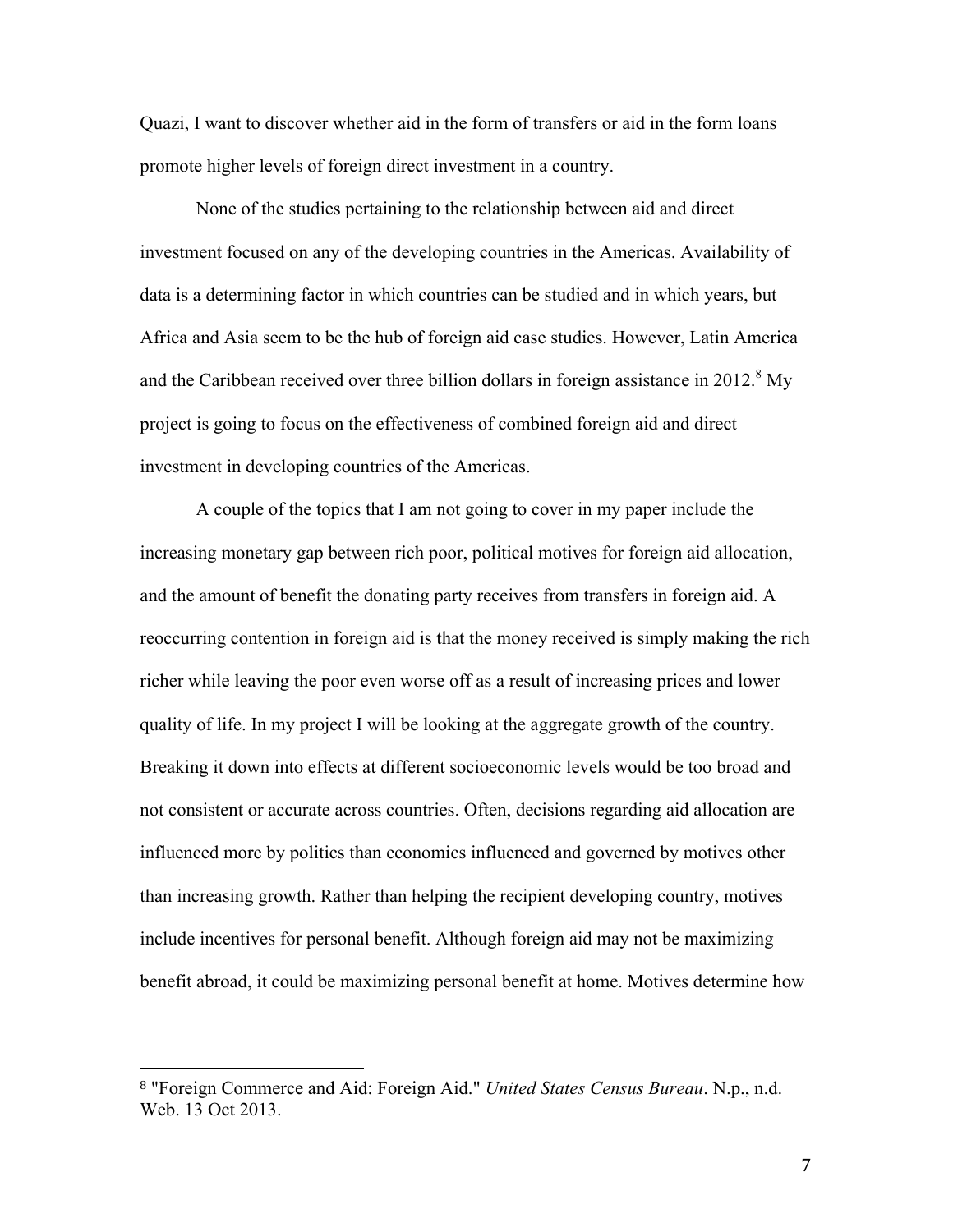Quazi, I want to discover whether aid in the form of transfers or aid in the form loans promote higher levels of foreign direct investment in a country.

None of the studies pertaining to the relationship between aid and direct investment focused on any of the developing countries in the Americas. Availability of data is a determining factor in which countries can be studied and in which years, but Africa and Asia seem to be the hub of foreign aid case studies. However, Latin America and the Caribbean received over three billion dollars in foreign assistance in  $2012<sup>8</sup>$  My project is going to focus on the effectiveness of combined foreign aid and direct investment in developing countries of the Americas.

A couple of the topics that I am not going to cover in my paper include the increasing monetary gap between rich poor, political motives for foreign aid allocation, and the amount of benefit the donating party receives from transfers in foreign aid. A reoccurring contention in foreign aid is that the money received is simply making the rich richer while leaving the poor even worse off as a result of increasing prices and lower quality of life. In my project I will be looking at the aggregate growth of the country. Breaking it down into effects at different socioeconomic levels would be too broad and not consistent or accurate across countries. Often, decisions regarding aid allocation are influenced more by politics than economics influenced and governed by motives other than increasing growth. Rather than helping the recipient developing country, motives include incentives for personal benefit. Although foreign aid may not be maximizing benefit abroad, it could be maximizing personal benefit at home. Motives determine how

<sup>8</sup> "Foreign Commerce and Aid: Foreign Aid." *United States Census Bureau*. N.p., n.d. Web. 13 Oct 2013.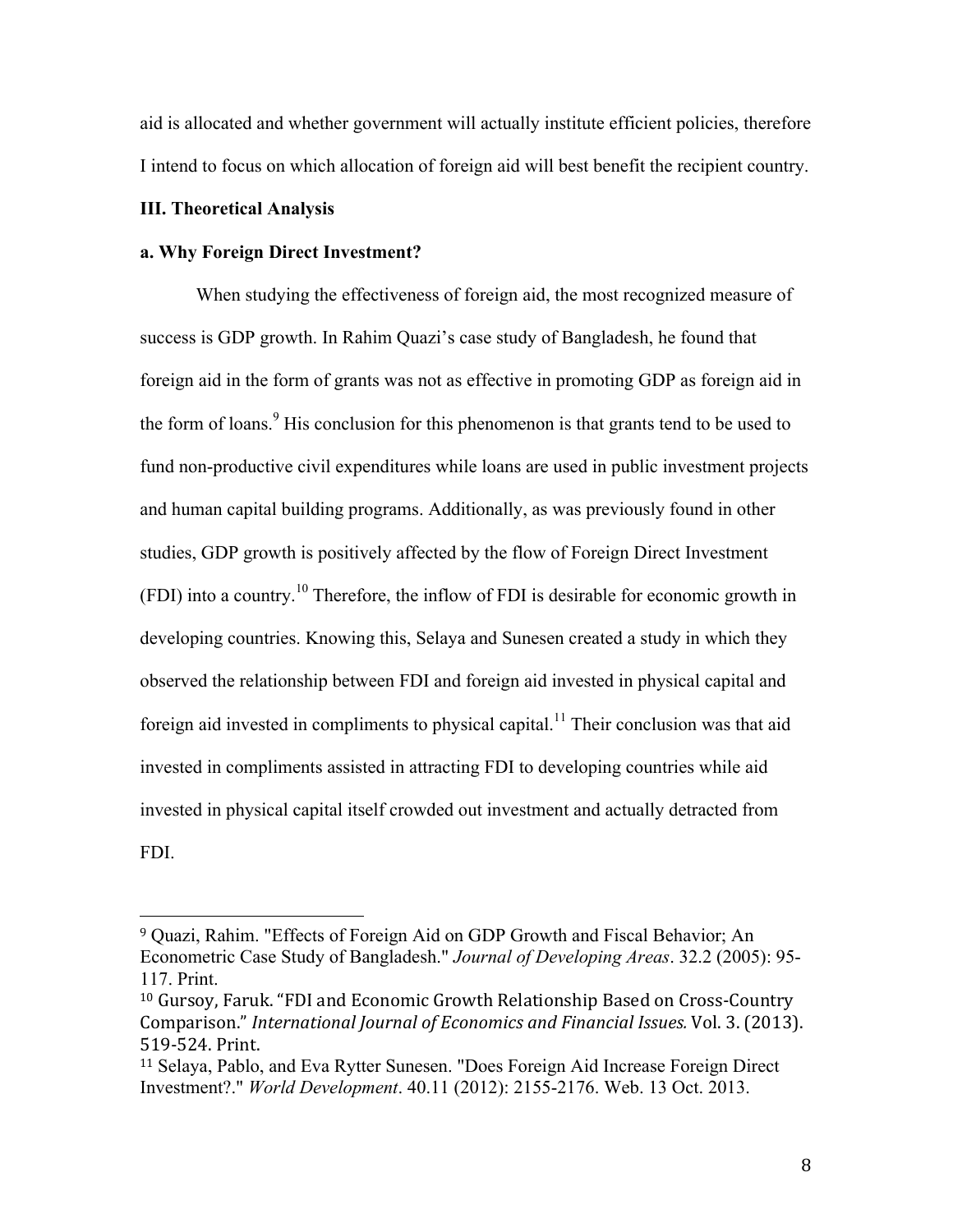aid is allocated and whether government will actually institute efficient policies, therefore I intend to focus on which allocation of foreign aid will best benefit the recipient country.

## **III. Theoretical Analysis**

 

## **a. Why Foreign Direct Investment?**

When studying the effectiveness of foreign aid, the most recognized measure of success is GDP growth. In Rahim Quazi's case study of Bangladesh, he found that foreign aid in the form of grants was not as effective in promoting GDP as foreign aid in the form of loans.<sup>9</sup> His conclusion for this phenomenon is that grants tend to be used to fund non-productive civil expenditures while loans are used in public investment projects and human capital building programs. Additionally, as was previously found in other studies, GDP growth is positively affected by the flow of Foreign Direct Investment  $(FDI)$  into a country.<sup>10</sup> Therefore, the inflow of FDI is desirable for economic growth in developing countries. Knowing this, Selaya and Sunesen created a study in which they observed the relationship between FDI and foreign aid invested in physical capital and foreign aid invested in compliments to physical capital.<sup>11</sup> Their conclusion was that aid invested in compliments assisted in attracting FDI to developing countries while aid invested in physical capital itself crowded out investment and actually detracted from FDI.

<sup>9</sup> Quazi, Rahim. "Effects of Foreign Aid on GDP Growth and Fiscal Behavior; An Econometric Case Study of Bangladesh." *Journal of Developing Areas*. 32.2 (2005): 95- 117. Print.

<sup>&</sup>lt;sup>10</sup> Gursoy, Faruk. "FDI and Economic Growth Relationship Based on Cross-Country Comparison." *International Journal of Economics and Financial Issues.* Vol. 3. (2013). 519-524. Print.

<sup>11</sup> Selaya, Pablo, and Eva Rytter Sunesen. "Does Foreign Aid Increase Foreign Direct Investment?." *World Development*. 40.11 (2012): 2155-2176. Web. 13 Oct. 2013.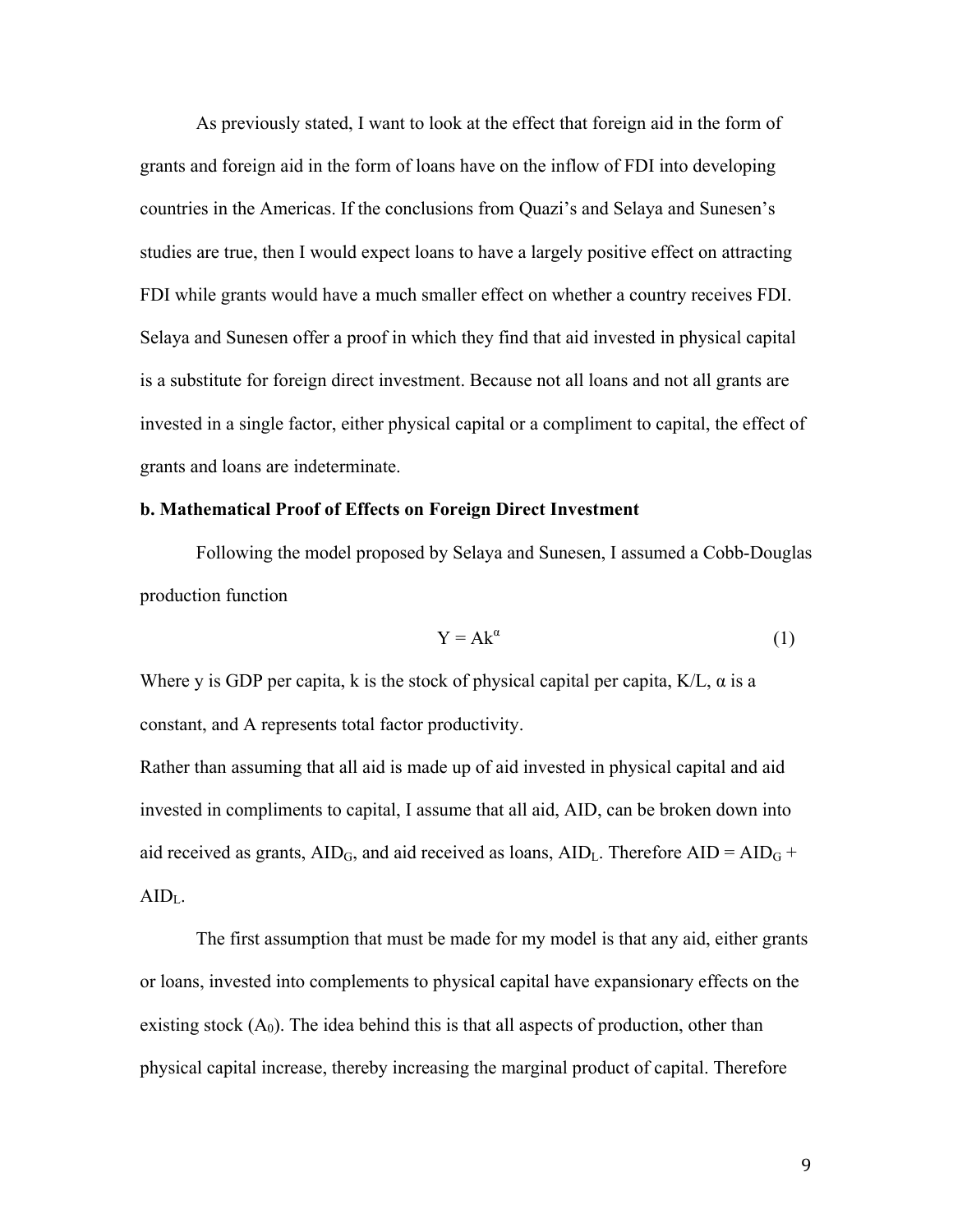As previously stated, I want to look at the effect that foreign aid in the form of grants and foreign aid in the form of loans have on the inflow of FDI into developing countries in the Americas. If the conclusions from Quazi's and Selaya and Sunesen's studies are true, then I would expect loans to have a largely positive effect on attracting FDI while grants would have a much smaller effect on whether a country receives FDI. Selaya and Sunesen offer a proof in which they find that aid invested in physical capital is a substitute for foreign direct investment. Because not all loans and not all grants are invested in a single factor, either physical capital or a compliment to capital, the effect of grants and loans are indeterminate.

### **b. Mathematical Proof of Effects on Foreign Direct Investment**

Following the model proposed by Selaya and Sunesen, I assumed a Cobb-Douglas production function

$$
Y = Ak^{\alpha} \tag{1}
$$

Where y is GDP per capita, k is the stock of physical capital per capita,  $K/L$ ,  $\alpha$  is a constant, and A represents total factor productivity.

Rather than assuming that all aid is made up of aid invested in physical capital and aid invested in compliments to capital, I assume that all aid, AID, can be broken down into aid received as grants,  $AID_G$ , and aid received as loans,  $AID_L$ . Therefore  $AID = AID_G +$ AIDL.

The first assumption that must be made for my model is that any aid, either grants or loans, invested into complements to physical capital have expansionary effects on the existing stock  $(A_0)$ . The idea behind this is that all aspects of production, other than physical capital increase, thereby increasing the marginal product of capital. Therefore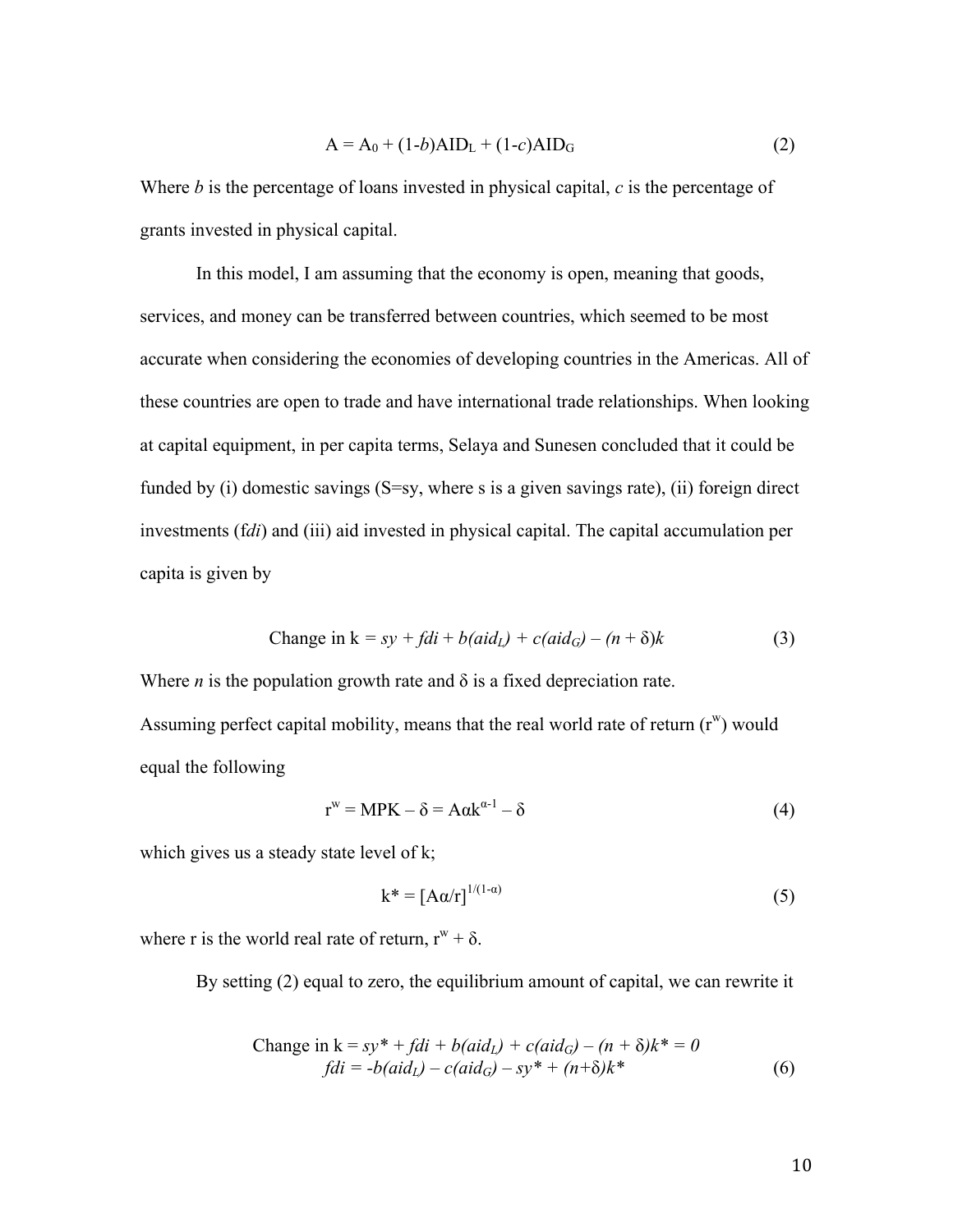$$
A = A_0 + (1-b)AID_L + (1-c)AID_G
$$
 (2)

Where *b* is the percentage of loans invested in physical capital, *c* is the percentage of grants invested in physical capital.

In this model, I am assuming that the economy is open, meaning that goods, services, and money can be transferred between countries, which seemed to be most accurate when considering the economies of developing countries in the Americas. All of these countries are open to trade and have international trade relationships. When looking at capital equipment, in per capita terms, Selaya and Sunesen concluded that it could be funded by (i) domestic savings (S=sy, where s is a given savings rate), (ii) foreign direct investments (f*di*) and (iii) aid invested in physical capital. The capital accumulation per capita is given by

Change in 
$$
k = sy + fdi + b(aid_L) + c(aid_G) - (n + \delta)k
$$
 (3)

Where *n* is the population growth rate and  $\delta$  is a fixed depreciation rate. Assuming perfect capital mobility, means that the real world rate of return  $(r^w)$  would equal the following

$$
r^{w} = MPK - \delta = A\alpha k^{\alpha - 1} - \delta
$$
\n(4)

which gives us a steady state level of k;

$$
k^* = [A\alpha/r]^{1/(1-\alpha)}
$$
 (5)

where r is the world real rate of return,  $r^w + \delta$ .

By setting (2) equal to zero, the equilibrium amount of capital, we can rewrite it

Change in 
$$
k = sy^* + fdi + b(aid_L) + c(aid_G) - (n + \delta)k^* = 0
$$
  
\n
$$
fdi = -b(aid_L) - c(aid_G) - sy^* + (n + \delta)k^*
$$
\n(6)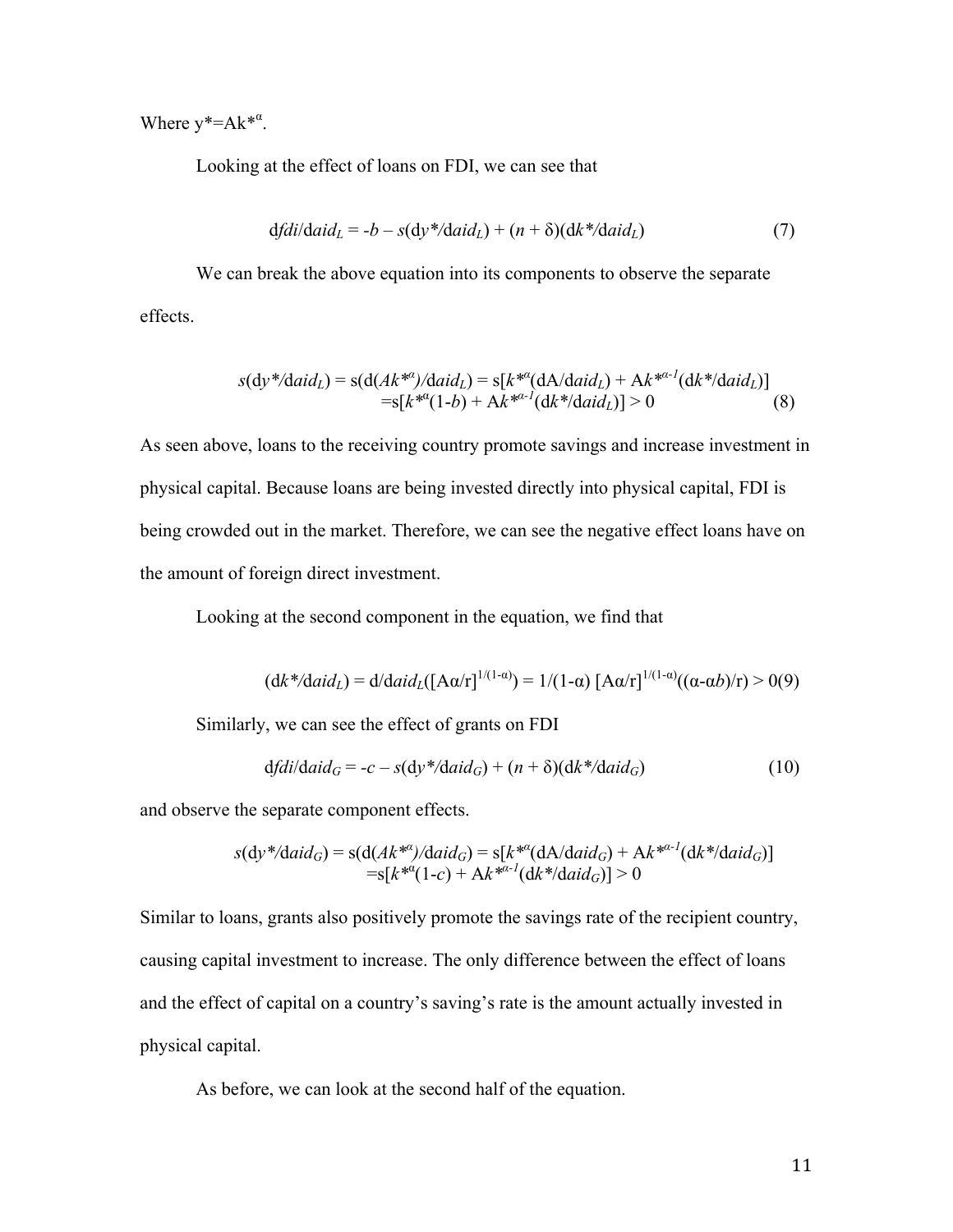Where  $y^* = Ak^{*\alpha}$ .

Looking at the effect of loans on FDI, we can see that

$$
dfdi/daidL = -b - s(dy*/daidL) + (n + \delta)(dk*/daidL)
$$
\n(7)

We can break the above equation into its components to observe the separate effects.

$$
s(dy^*/daid_L) = s(d(Ak^{*a})/daid_L) = s[k^{*a}(dA/daid_L) + Ak^{*a-1}(dk^*/daid_L)]
$$
  
=s[k^{\*a}(1-b) + Ak^{\*a-1}(dk^\*/daid\_L)] > 0 (8)

As seen above, loans to the receiving country promote savings and increase investment in physical capital. Because loans are being invested directly into physical capital, FDI is being crowded out in the market. Therefore, we can see the negative effect loans have on the amount of foreign direct investment.

Looking at the second component in the equation, we find that

$$
(\mathrm{d}k^* / \mathrm{d}a \mathrm{id}_L) = \mathrm{d} / \mathrm{d}a \mathrm{id}_L([\mathrm{A}\alpha/\mathrm{r}]^{1/(1-\alpha)}) = 1/(1-\alpha) [\mathrm{A}\alpha/\mathrm{r}]^{1/(1-\alpha)}((\alpha-\alpha b)/\mathrm{r}) > 0(9)
$$

Similarly, we can see the effect of grants on FDI

$$
dfdi/daidG = -c - s(dy*/daidG) + (n + \delta)(dk*/daidG)
$$
\n(10)

and observe the separate component effects.

$$
s(dy^*/daid_G) = s(d(Ak^{*a})/daid_G) = s[k^{*a}(dA/daid_G) + Ak^{*a-1}(dk^*/daid_G)]
$$
  
=s[k^{\*a}(1-c) + Ak^{\*a-1}(dk^\*/daid\_G)] > 0

Similar to loans, grants also positively promote the savings rate of the recipient country, causing capital investment to increase. The only difference between the effect of loans and the effect of capital on a country's saving's rate is the amount actually invested in physical capital.

As before, we can look at the second half of the equation.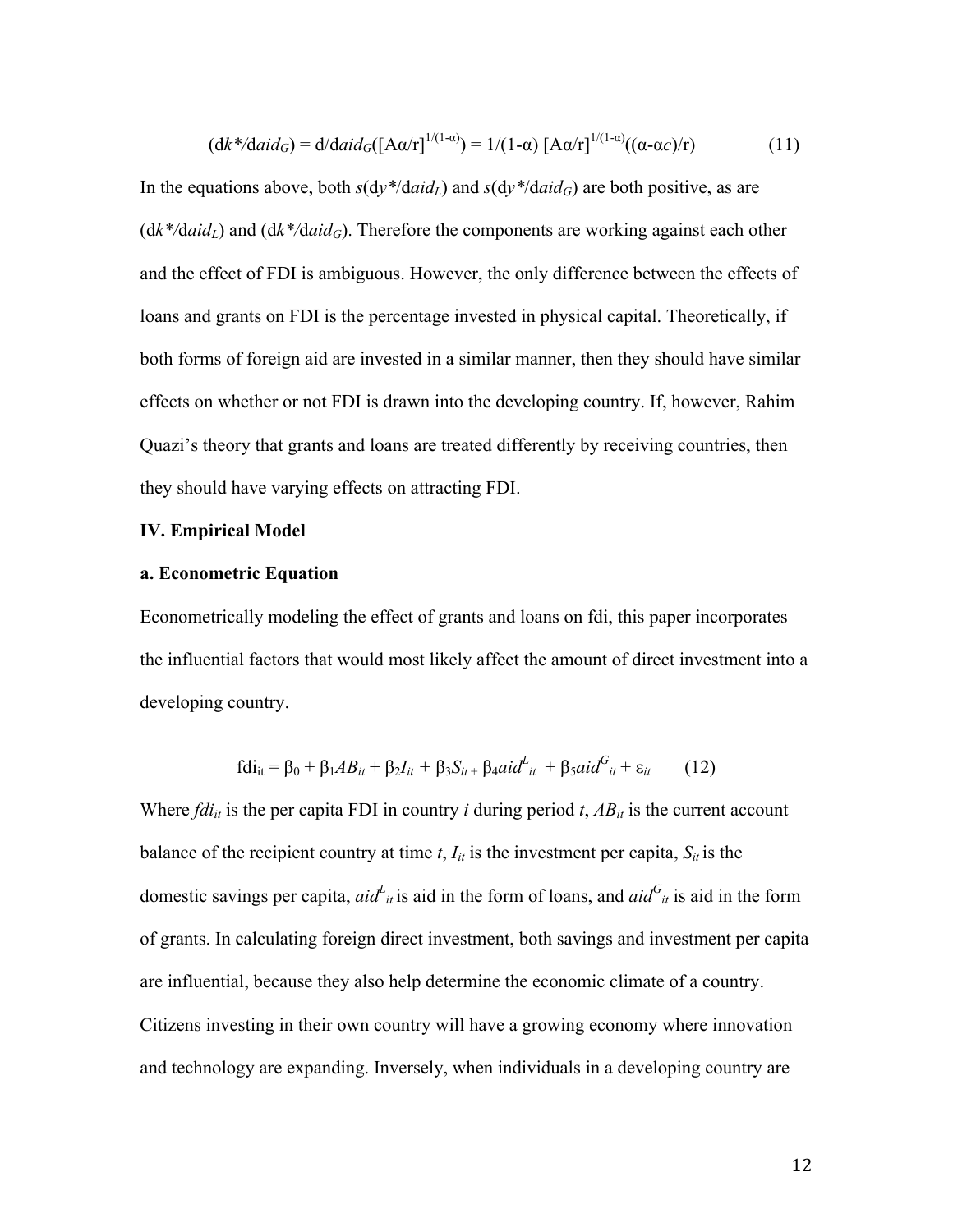$$
(\mathrm{d}k^* / \mathrm{d}a \mathrm{id}_G) = \mathrm{d} / \mathrm{d}a \mathrm{id}_G([\mathrm{A}\alpha/\mathrm{r}]^{1/(1-\alpha)}) = 1/(1-\alpha) [\mathrm{A}\alpha/\mathrm{r}]^{1/(1-\alpha)}((\alpha-\alpha c)/\mathrm{r})
$$
(11)

In the equations above, both  $s(dy*)\ddot{d}aid_L$  and  $s(dy*)\ddot{d}aid_G$  are both positive, as are  $(dk*/daid<sub>L</sub>)$  and  $(dk*/daid<sub>G</sub>)$ . Therefore the components are working against each other and the effect of FDI is ambiguous. However, the only difference between the effects of loans and grants on FDI is the percentage invested in physical capital. Theoretically, if both forms of foreign aid are invested in a similar manner, then they should have similar effects on whether or not FDI is drawn into the developing country. If, however, Rahim Quazi's theory that grants and loans are treated differently by receiving countries, then they should have varying effects on attracting FDI.

#### **IV. Empirical Model**

#### **a. Econometric Equation**

Econometrically modeling the effect of grants and loans on fdi, this paper incorporates the influential factors that would most likely affect the amount of direct investment into a developing country.

$$
fdi_{it} = \beta_0 + \beta_1 AB_{it} + \beta_2 I_{it} + \beta_3 S_{it} + \beta_4 aid_{it}^L + \beta_5 aid_{it}^G + \varepsilon_{it}
$$
 (12)

Where  $fdi_{it}$  is the per capita FDI in country *i* during period *t*,  $AB_{it}$  is the current account balance of the recipient country at time  $t$ ,  $I_{it}$  is the investment per capita,  $S_{it}$  is the domestic savings per capita,  $aid_{it}$  is aid in the form of loans, and  $aid_{it}$  is aid in the form of grants. In calculating foreign direct investment, both savings and investment per capita are influential, because they also help determine the economic climate of a country. Citizens investing in their own country will have a growing economy where innovation and technology are expanding. Inversely, when individuals in a developing country are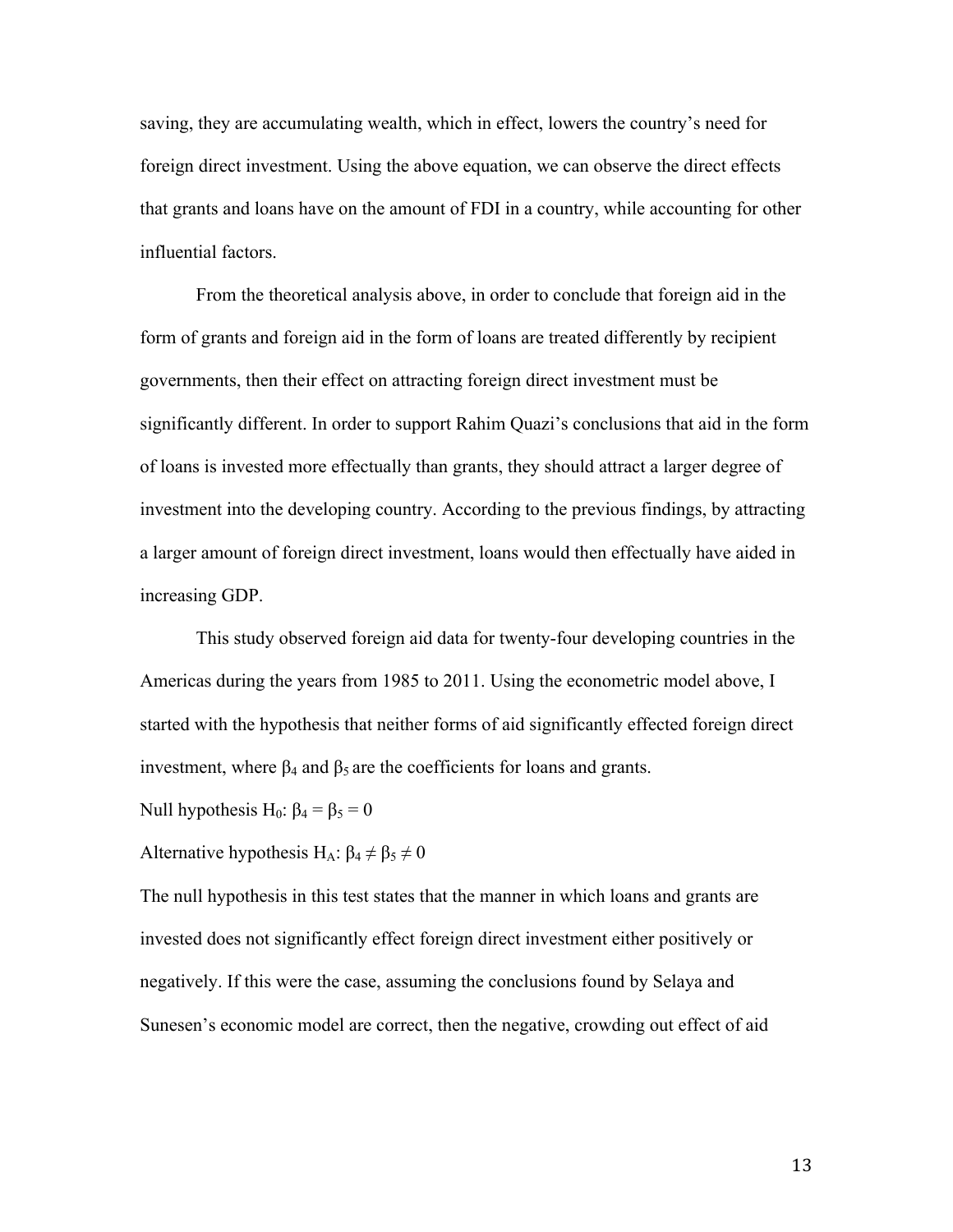saving, they are accumulating wealth, which in effect, lowers the country's need for foreign direct investment. Using the above equation, we can observe the direct effects that grants and loans have on the amount of FDI in a country, while accounting for other influential factors.

From the theoretical analysis above, in order to conclude that foreign aid in the form of grants and foreign aid in the form of loans are treated differently by recipient governments, then their effect on attracting foreign direct investment must be significantly different. In order to support Rahim Quazi's conclusions that aid in the form of loans is invested more effectually than grants, they should attract a larger degree of investment into the developing country. According to the previous findings, by attracting a larger amount of foreign direct investment, loans would then effectually have aided in increasing GDP.

This study observed foreign aid data for twenty-four developing countries in the Americas during the years from 1985 to 2011. Using the econometric model above, I started with the hypothesis that neither forms of aid significantly effected foreign direct investment, where  $β_4$  and  $β_5$  are the coefficients for loans and grants.

Null hypothesis H<sub>0</sub>:  $β_4 = β_5 = 0$ 

Alternative hypothesis H<sub>A</sub>:  $\beta_4 \neq \beta_5 \neq 0$ 

The null hypothesis in this test states that the manner in which loans and grants are invested does not significantly effect foreign direct investment either positively or negatively. If this were the case, assuming the conclusions found by Selaya and Sunesen's economic model are correct, then the negative, crowding out effect of aid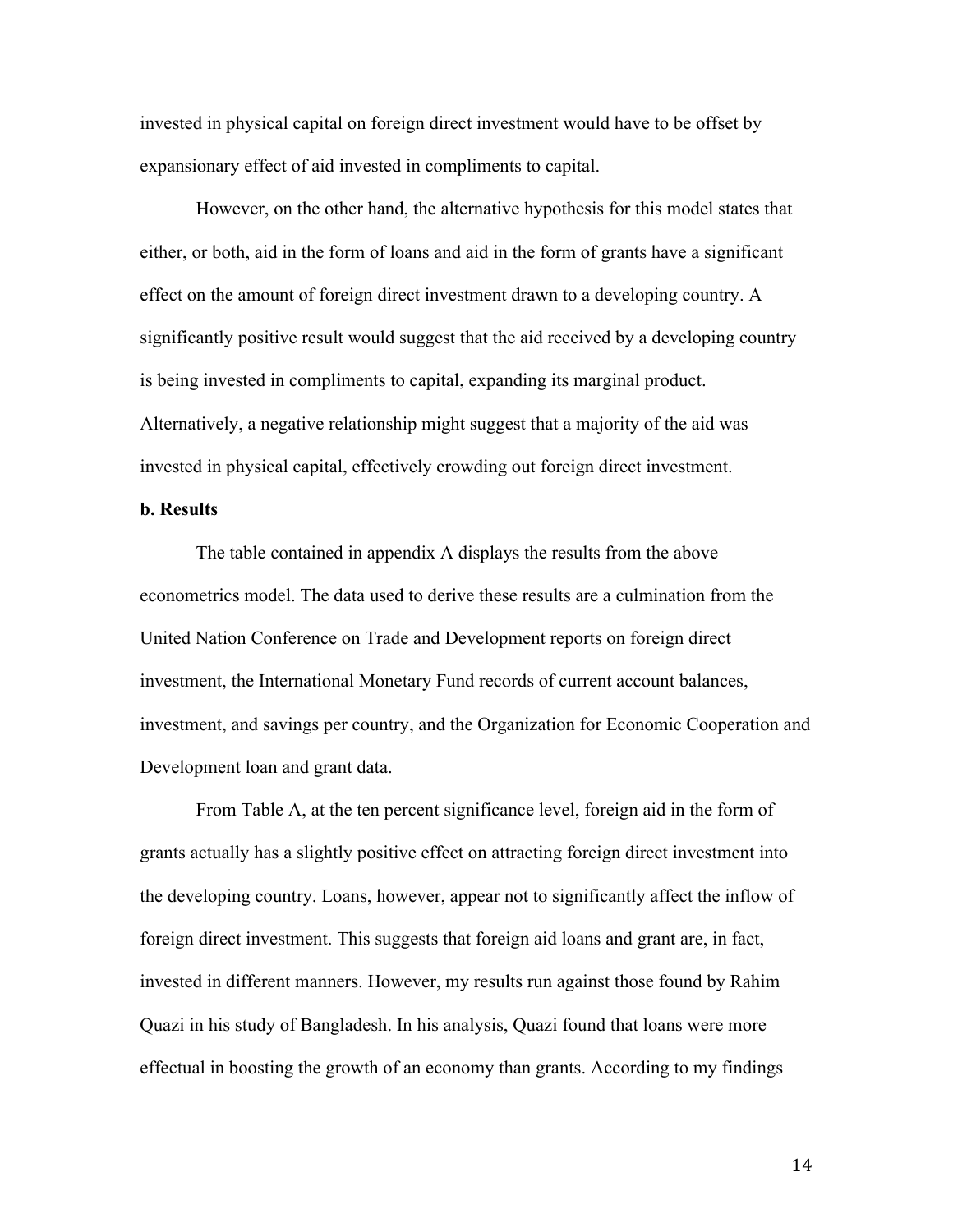invested in physical capital on foreign direct investment would have to be offset by expansionary effect of aid invested in compliments to capital.

However, on the other hand, the alternative hypothesis for this model states that either, or both, aid in the form of loans and aid in the form of grants have a significant effect on the amount of foreign direct investment drawn to a developing country. A significantly positive result would suggest that the aid received by a developing country is being invested in compliments to capital, expanding its marginal product. Alternatively, a negative relationship might suggest that a majority of the aid was invested in physical capital, effectively crowding out foreign direct investment.

# **b. Results**

The table contained in appendix A displays the results from the above econometrics model. The data used to derive these results are a culmination from the United Nation Conference on Trade and Development reports on foreign direct investment, the International Monetary Fund records of current account balances, investment, and savings per country, and the Organization for Economic Cooperation and Development loan and grant data.

From Table A, at the ten percent significance level, foreign aid in the form of grants actually has a slightly positive effect on attracting foreign direct investment into the developing country. Loans, however, appear not to significantly affect the inflow of foreign direct investment. This suggests that foreign aid loans and grant are, in fact, invested in different manners. However, my results run against those found by Rahim Quazi in his study of Bangladesh. In his analysis, Quazi found that loans were more effectual in boosting the growth of an economy than grants. According to my findings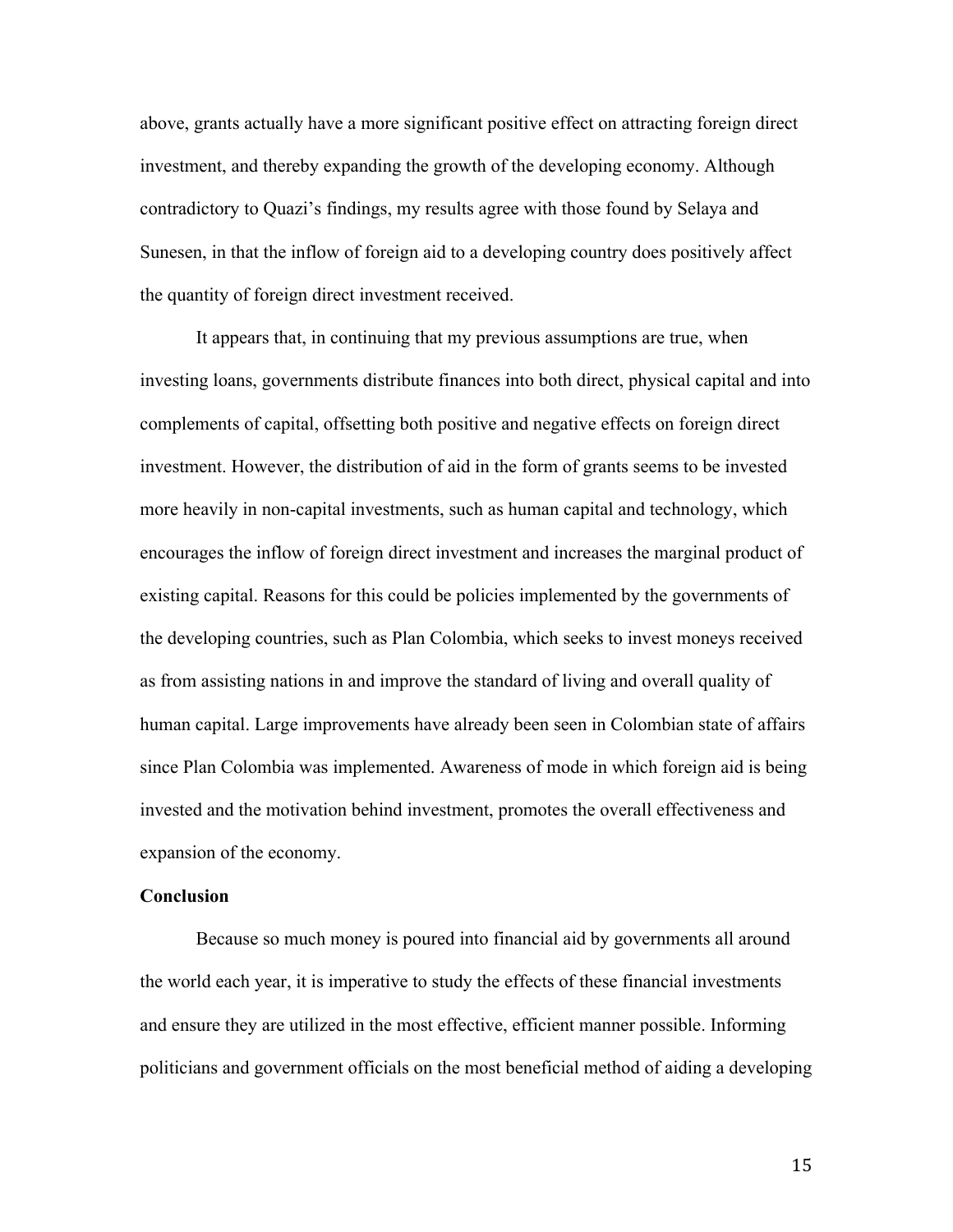above, grants actually have a more significant positive effect on attracting foreign direct investment, and thereby expanding the growth of the developing economy. Although contradictory to Quazi's findings, my results agree with those found by Selaya and Sunesen, in that the inflow of foreign aid to a developing country does positively affect the quantity of foreign direct investment received.

It appears that, in continuing that my previous assumptions are true, when investing loans, governments distribute finances into both direct, physical capital and into complements of capital, offsetting both positive and negative effects on foreign direct investment. However, the distribution of aid in the form of grants seems to be invested more heavily in non-capital investments, such as human capital and technology, which encourages the inflow of foreign direct investment and increases the marginal product of existing capital. Reasons for this could be policies implemented by the governments of the developing countries, such as Plan Colombia, which seeks to invest moneys received as from assisting nations in and improve the standard of living and overall quality of human capital. Large improvements have already been seen in Colombian state of affairs since Plan Colombia was implemented. Awareness of mode in which foreign aid is being invested and the motivation behind investment, promotes the overall effectiveness and expansion of the economy.

#### **Conclusion**

Because so much money is poured into financial aid by governments all around the world each year, it is imperative to study the effects of these financial investments and ensure they are utilized in the most effective, efficient manner possible. Informing politicians and government officials on the most beneficial method of aiding a developing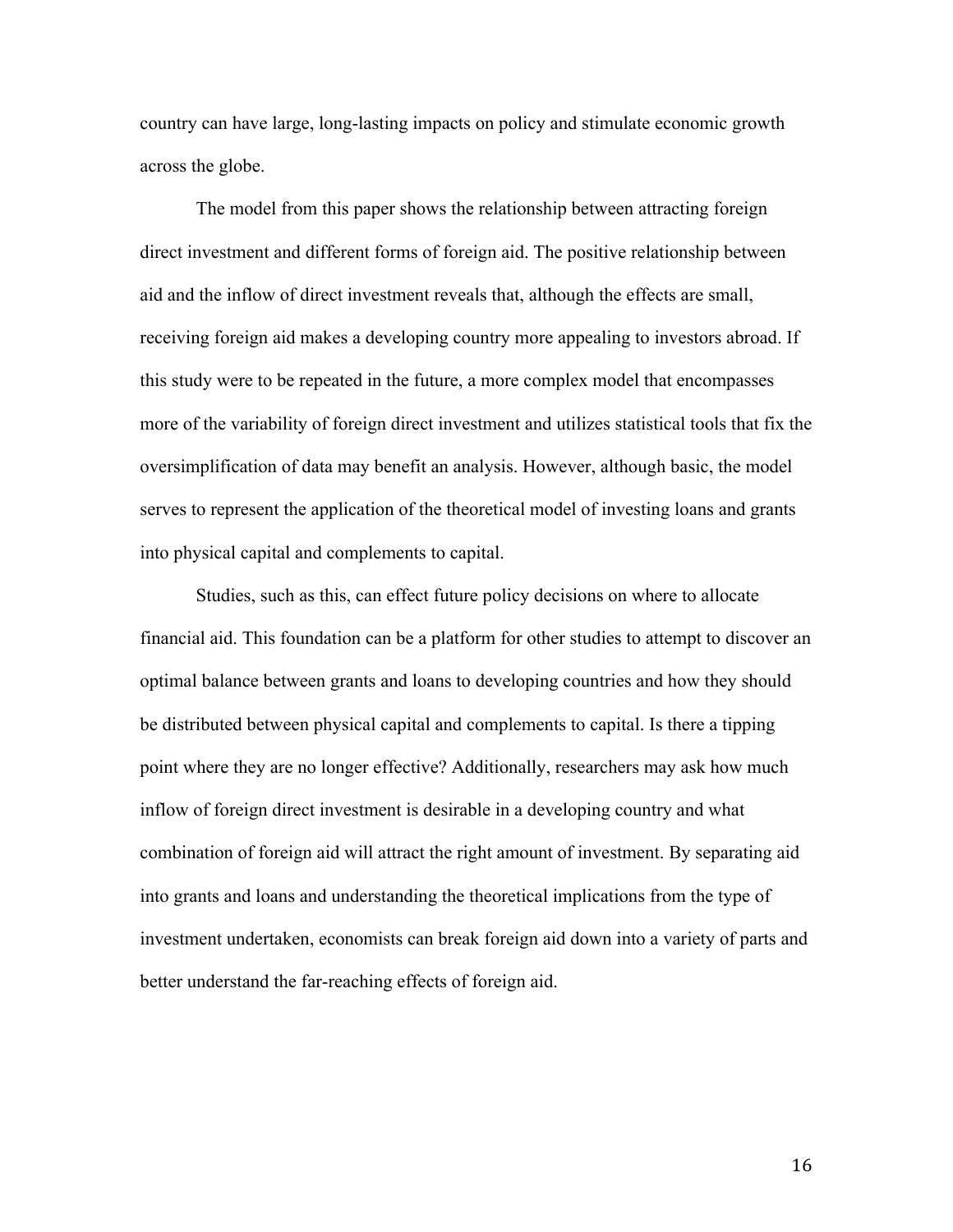country can have large, long-lasting impacts on policy and stimulate economic growth across the globe.

The model from this paper shows the relationship between attracting foreign direct investment and different forms of foreign aid. The positive relationship between aid and the inflow of direct investment reveals that, although the effects are small, receiving foreign aid makes a developing country more appealing to investors abroad. If this study were to be repeated in the future, a more complex model that encompasses more of the variability of foreign direct investment and utilizes statistical tools that fix the oversimplification of data may benefit an analysis. However, although basic, the model serves to represent the application of the theoretical model of investing loans and grants into physical capital and complements to capital.

Studies, such as this, can effect future policy decisions on where to allocate financial aid. This foundation can be a platform for other studies to attempt to discover an optimal balance between grants and loans to developing countries and how they should be distributed between physical capital and complements to capital. Is there a tipping point where they are no longer effective? Additionally, researchers may ask how much inflow of foreign direct investment is desirable in a developing country and what combination of foreign aid will attract the right amount of investment. By separating aid into grants and loans and understanding the theoretical implications from the type of investment undertaken, economists can break foreign aid down into a variety of parts and better understand the far-reaching effects of foreign aid.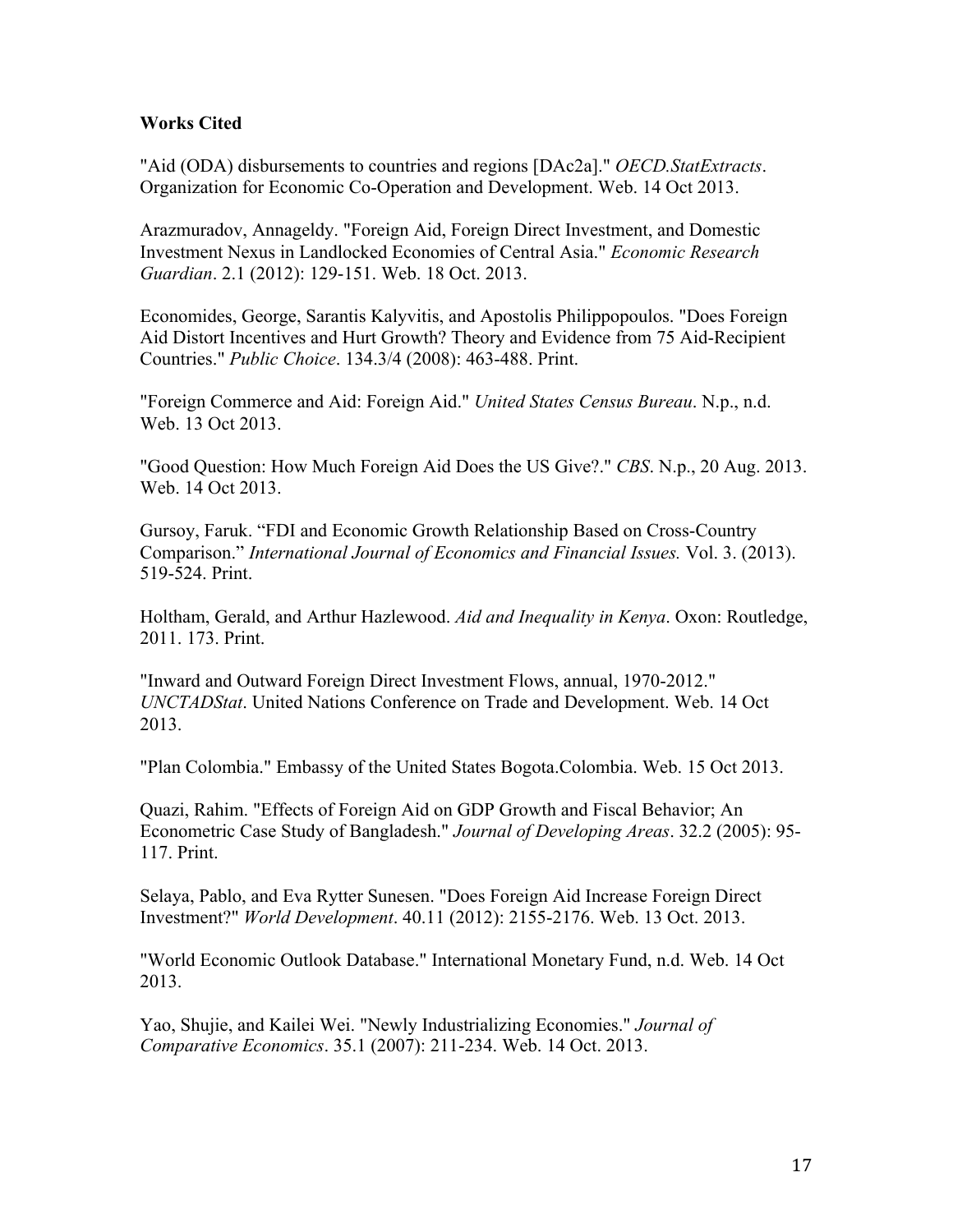# **Works Cited**

"Aid (ODA) disbursements to countries and regions [DAc2a]." *OECD.StatExtracts*. Organization for Economic Co-Operation and Development. Web. 14 Oct 2013.

Arazmuradov, Annageldy. "Foreign Aid, Foreign Direct Investment, and Domestic Investment Nexus in Landlocked Economies of Central Asia." *Economic Research Guardian*. 2.1 (2012): 129-151. Web. 18 Oct. 2013.

Economides, George, Sarantis Kalyvitis, and Apostolis Philippopoulos. "Does Foreign Aid Distort Incentives and Hurt Growth? Theory and Evidence from 75 Aid-Recipient Countries." *Public Choice*. 134.3/4 (2008): 463-488. Print.

"Foreign Commerce and Aid: Foreign Aid." *United States Census Bureau*. N.p., n.d. Web. 13 Oct 2013.

"Good Question: How Much Foreign Aid Does the US Give?." *CBS*. N.p., 20 Aug. 2013. Web. 14 Oct 2013.

Gursoy, Faruk. "FDI and Economic Growth Relationship Based on Cross-Country Comparison." *International Journal of Economics and Financial Issues.* Vol. 3. (2013). 519-524. Print.

Holtham, Gerald, and Arthur Hazlewood. *Aid and Inequality in Kenya*. Oxon: Routledge, 2011. 173. Print.

"Inward and Outward Foreign Direct Investment Flows, annual, 1970-2012." *UNCTADStat*. United Nations Conference on Trade and Development. Web. 14 Oct 2013.

"Plan Colombia." Embassy of the United States Bogota.Colombia. Web. 15 Oct 2013.

Quazi, Rahim. "Effects of Foreign Aid on GDP Growth and Fiscal Behavior; An Econometric Case Study of Bangladesh." *Journal of Developing Areas*. 32.2 (2005): 95- 117. Print.

Selaya, Pablo, and Eva Rytter Sunesen. "Does Foreign Aid Increase Foreign Direct Investment?" *World Development*. 40.11 (2012): 2155-2176. Web. 13 Oct. 2013.

"World Economic Outlook Database." International Monetary Fund, n.d. Web. 14 Oct 2013.

Yao, Shujie, and Kailei Wei. "Newly Industrializing Economies." *Journal of Comparative Economics*. 35.1 (2007): 211-234. Web. 14 Oct. 2013.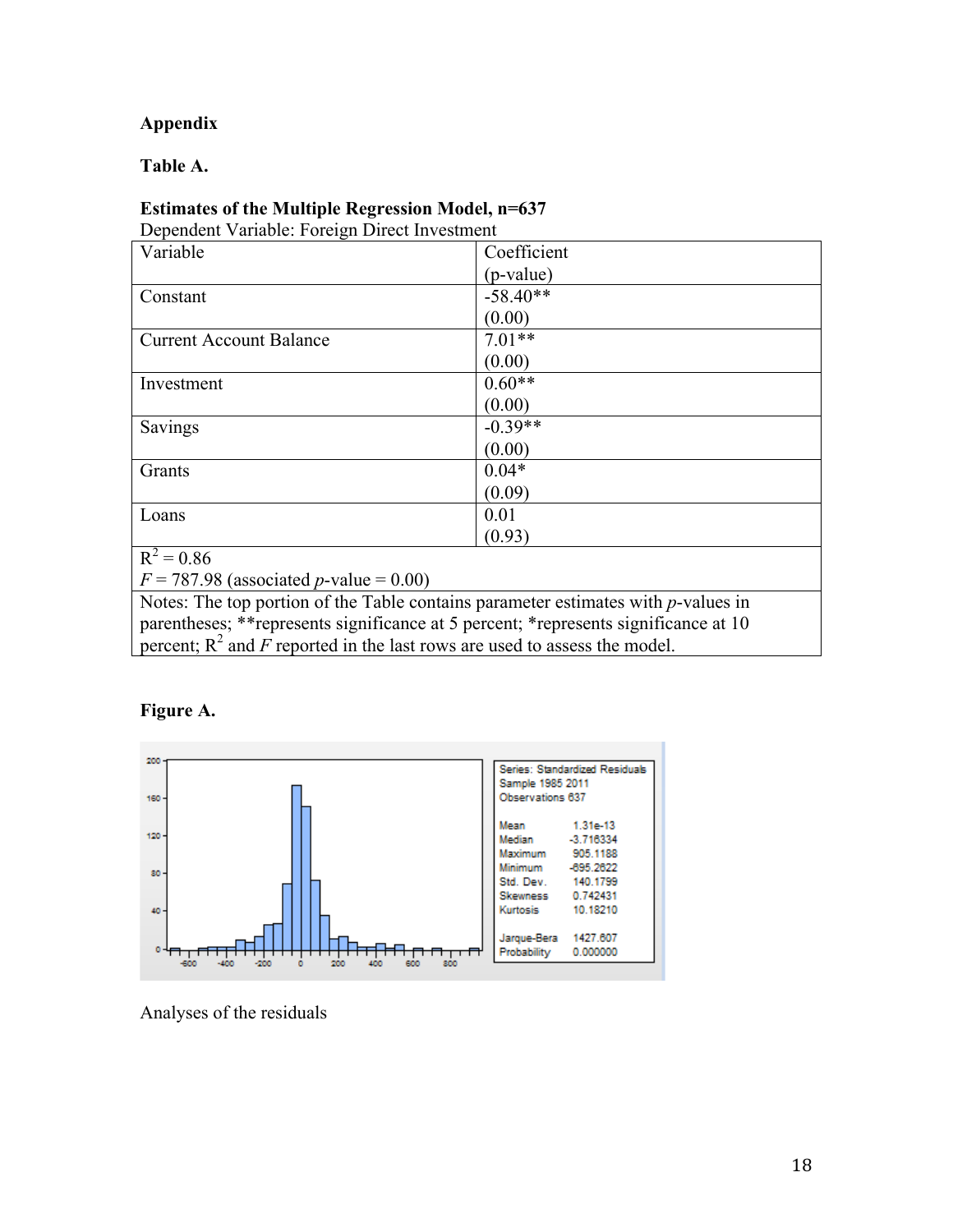# **Appendix**

**Table A.** 

# **Estimates of the Multiple Regression Model, n=637**

Dependent Variable: Foreign Direct Investment

| Variable                                                                              | Coefficient |  |  |
|---------------------------------------------------------------------------------------|-------------|--|--|
|                                                                                       | (p-value)   |  |  |
| Constant                                                                              | $-58.40**$  |  |  |
|                                                                                       | (0.00)      |  |  |
| <b>Current Account Balance</b>                                                        | $7.01**$    |  |  |
|                                                                                       | (0.00)      |  |  |
| Investment                                                                            | $0.60**$    |  |  |
|                                                                                       | (0.00)      |  |  |
| Savings                                                                               | $-0.39**$   |  |  |
|                                                                                       | (0.00)      |  |  |
| Grants                                                                                | $0.04*$     |  |  |
|                                                                                       | (0.09)      |  |  |
| Loans                                                                                 | 0.01        |  |  |
|                                                                                       | (0.93)      |  |  |
| $R^2 = 0.86$                                                                          |             |  |  |
| $F = 787.98$ (associated <i>p</i> -value = 0.00)                                      |             |  |  |
| Notes: The top portion of the Table contains parameter estimates with p-values in     |             |  |  |
| parentheses; ** represents significance at 5 percent; * represents significance at 10 |             |  |  |
| percent; $R^2$ and F reported in the last rows are used to assess the model.          |             |  |  |

# **Figure A.**



Analyses of the residuals